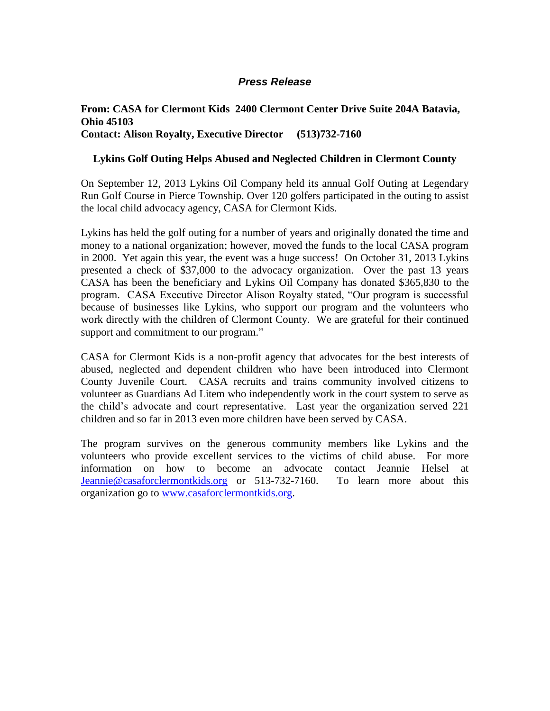## *Press Release*

## **From: CASA for Clermont Kids 2400 Clermont Center Drive Suite 204A Batavia, Ohio 45103 Contact: Alison Royalty, Executive Director (513)732-7160**

## **Lykins Golf Outing Helps Abused and Neglected Children in Clermont County**

On September 12, 2013 Lykins Oil Company held its annual Golf Outing at Legendary Run Golf Course in Pierce Township. Over 120 golfers participated in the outing to assist the local child advocacy agency, CASA for Clermont Kids.

Lykins has held the golf outing for a number of years and originally donated the time and money to a national organization; however, moved the funds to the local CASA program in 2000. Yet again this year, the event was a huge success! On October 31, 2013 Lykins presented a check of \$37,000 to the advocacy organization. Over the past 13 years CASA has been the beneficiary and Lykins Oil Company has donated \$365,830 to the program. CASA Executive Director Alison Royalty stated, "Our program is successful because of businesses like Lykins, who support our program and the volunteers who work directly with the children of Clermont County. We are grateful for their continued support and commitment to our program."

CASA for Clermont Kids is a non-profit agency that advocates for the best interests of abused, neglected and dependent children who have been introduced into Clermont County Juvenile Court. CASA recruits and trains community involved citizens to volunteer as Guardians Ad Litem who independently work in the court system to serve as the child's advocate and court representative. Last year the organization served 221 children and so far in 2013 even more children have been served by CASA.

The program survives on the generous community members like Lykins and the volunteers who provide excellent services to the victims of child abuse. For more information on how to become an advocate contact Jeannie Helsel at [Jeannie@casaforclermontkids.org](mailto:Jeannie@casaforclermontkids.org) or 513-732-7160. To learn more about this organization go to [www.casaforclermontkids.org.](http://www.casaforclermontkids.org/)